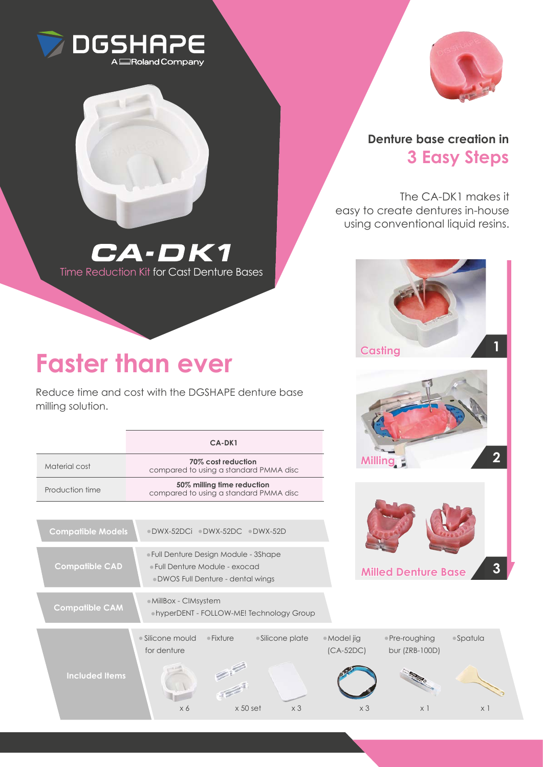



**1**

## **Denture base creation in 3 Easy Steps**

The CA-DK1 makes it easy to create dentures in-house using conventional liquid resins.

**Casting**

**CA-DK1** Time Reduction Kit for Cast Denture Bases

## **Faster than ever**

Reduce time and cost with the DGSHAPE denture base milling solution.

|                          | CA-DK1                                                                                                             |                                                                |
|--------------------------|--------------------------------------------------------------------------------------------------------------------|----------------------------------------------------------------|
| Material cost            | 70% cost reduction<br>compared to using a standard PMMA disc                                                       |                                                                |
| Production time          | 50% milling time reduction<br>compared to using a standard PMMA disc                                               |                                                                |
| <b>Compatible Models</b> | .DWX-52DCi DWX-52DC DWX-52D                                                                                        |                                                                |
| <b>Compatible CAD</b>    | . Full Denture Design Module - 3Shape<br>• Full Denture Module - exocad<br><b>DWOS Full Denture - dental wings</b> | <b>Milled Denture Base</b>                                     |
| <b>Compatible CAM</b>    | · MillBox - CIMsystem<br>. hyperDENT - FOLLOW-ME! Technology Group                                                 |                                                                |
|                          | • Silicone mould<br>• Fixture<br>• Silicone plate<br>for denture                                                   | · Pre-roughing<br>• Model jig<br>$(CA-52DC)$<br>bur (ZRB-100D) |
| <b>Included Items</b>    | $\times 3$<br>$x 50$ set<br>x 6                                                                                    | $\times 3$                                                     |